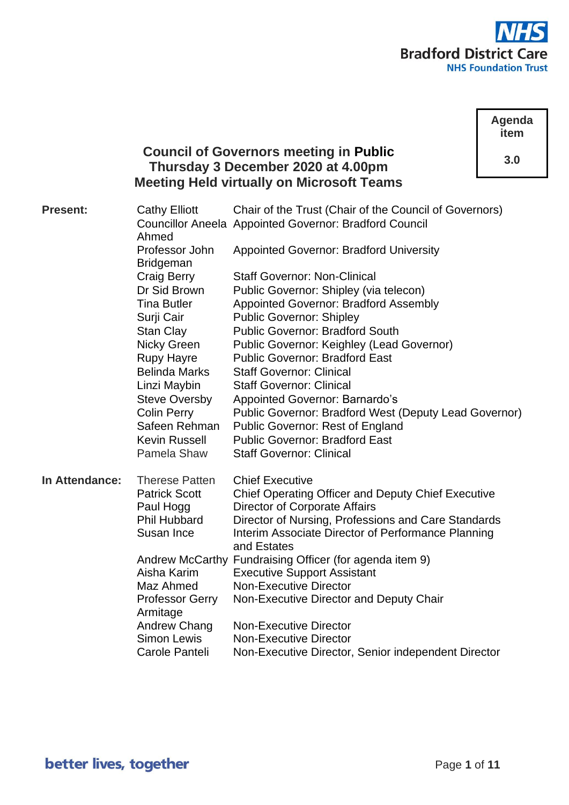

**Agenda item**

**3.0**

# **Council of Governors meeting in Public Thursday 3 December 2020 at 4.00pm Meeting Held virtually on Microsoft Teams**

| <b>Present:</b> | <b>Cathy Elliott</b><br>Ahmed      | Chair of the Trust (Chair of the Council of Governors)<br><b>Councillor Aneela Appointed Governor: Bradford Council</b> |
|-----------------|------------------------------------|-------------------------------------------------------------------------------------------------------------------------|
|                 | Professor John<br><b>Bridgeman</b> | <b>Appointed Governor: Bradford University</b>                                                                          |
|                 | <b>Craig Berry</b>                 | <b>Staff Governor: Non-Clinical</b>                                                                                     |
|                 | Dr Sid Brown                       | Public Governor: Shipley (via telecon)                                                                                  |
|                 | <b>Tina Butler</b>                 | <b>Appointed Governor: Bradford Assembly</b>                                                                            |
|                 | Surji Cair                         | <b>Public Governor: Shipley</b>                                                                                         |
|                 | <b>Stan Clay</b>                   | <b>Public Governor: Bradford South</b>                                                                                  |
|                 | <b>Nicky Green</b>                 | <b>Public Governor: Keighley (Lead Governor)</b>                                                                        |
|                 | <b>Rupy Hayre</b>                  | <b>Public Governor: Bradford East</b>                                                                                   |
|                 | <b>Belinda Marks</b>               | <b>Staff Governor: Clinical</b>                                                                                         |
|                 | Linzi Maybin                       | <b>Staff Governor: Clinical</b>                                                                                         |
|                 | <b>Steve Oversby</b>               | <b>Appointed Governor: Barnardo's</b>                                                                                   |
|                 | <b>Colin Perry</b>                 | Public Governor: Bradford West (Deputy Lead Governor)                                                                   |
|                 | Safeen Rehman                      | <b>Public Governor: Rest of England</b>                                                                                 |
|                 | <b>Kevin Russell</b>               | <b>Public Governor: Bradford East</b>                                                                                   |
|                 | Pamela Shaw                        | <b>Staff Governor: Clinical</b>                                                                                         |
| In Attendance:  | <b>Therese Patten</b>              | <b>Chief Executive</b>                                                                                                  |
|                 | <b>Patrick Scott</b>               | <b>Chief Operating Officer and Deputy Chief Executive</b>                                                               |
|                 | Paul Hogg                          | Director of Corporate Affairs                                                                                           |
|                 | <b>Phil Hubbard</b>                | Director of Nursing, Professions and Care Standards                                                                     |
|                 | Susan Ince                         | Interim Associate Director of Performance Planning<br>and Estates                                                       |
|                 |                                    | Andrew McCarthy Fundraising Officer (for agenda item 9)                                                                 |
|                 | Aisha Karim                        | <b>Executive Support Assistant</b>                                                                                      |
|                 | Maz Ahmed                          | <b>Non-Executive Director</b>                                                                                           |
|                 | <b>Professor Gerry</b>             | Non-Executive Director and Deputy Chair                                                                                 |
|                 | Armitage                           |                                                                                                                         |
|                 | Andrew Chang                       | <b>Non-Executive Director</b>                                                                                           |
|                 | <b>Simon Lewis</b>                 | <b>Non-Executive Director</b>                                                                                           |
|                 | Carole Panteli                     | Non-Executive Director, Senior independent Director                                                                     |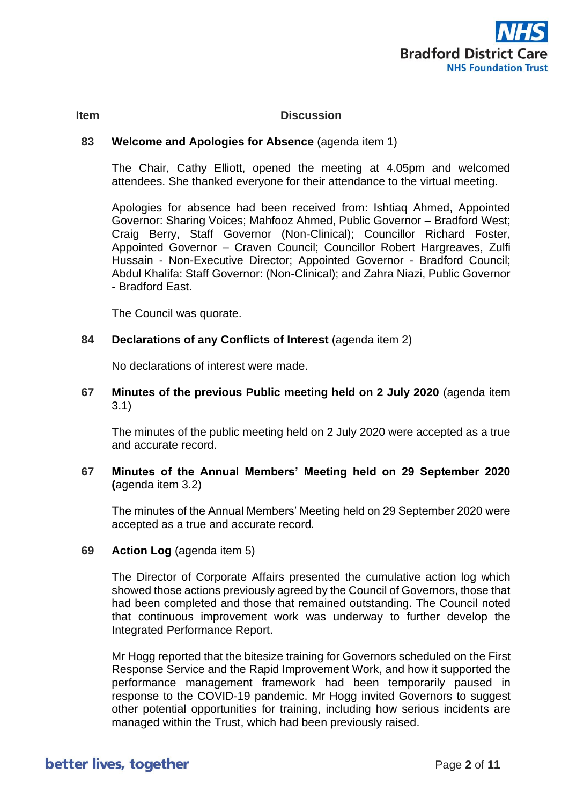

### **Item Discussion**

# **83 Welcome and Apologies for Absence** (agenda item 1)

The Chair, Cathy Elliott, opened the meeting at 4.05pm and welcomed attendees. She thanked everyone for their attendance to the virtual meeting.

Apologies for absence had been received from: Ishtiaq Ahmed, Appointed Governor: Sharing Voices; Mahfooz Ahmed, Public Governor – Bradford West; Craig Berry, Staff Governor (Non-Clinical); Councillor Richard Foster, Appointed Governor – Craven Council; Councillor Robert Hargreaves, Zulfi Hussain - Non-Executive Director; Appointed Governor - Bradford Council; Abdul Khalifa: Staff Governor: (Non-Clinical); and Zahra Niazi, Public Governor - Bradford East.

The Council was quorate.

# 84 **Declarations of any Conflicts of Interest** (agenda item 2)

No declarations of interest were made.

**67 Minutes of the previous Public meeting held on 2 July 2020** (agenda item 3.1)

The minutes of the public meeting held on 2 July 2020 were accepted as a true and accurate record.

**67 Minutes of the Annual Members' Meeting held on 29 September 2020 (**agenda item 3.2)

The minutes of the Annual Members' Meeting held on 29 September 2020 were accepted as a true and accurate record.

**69 Action Log** (agenda item 5)

The Director of Corporate Affairs presented the cumulative action log which showed those actions previously agreed by the Council of Governors, those that had been completed and those that remained outstanding. The Council noted that continuous improvement work was underway to further develop the Integrated Performance Report.

Mr Hogg reported that the bitesize training for Governors scheduled on the First Response Service and the Rapid Improvement Work, and how it supported the performance management framework had been temporarily paused in response to the COVID-19 pandemic. Mr Hogg invited Governors to suggest other potential opportunities for training, including how serious incidents are managed within the Trust, which had been previously raised.

# better lives, together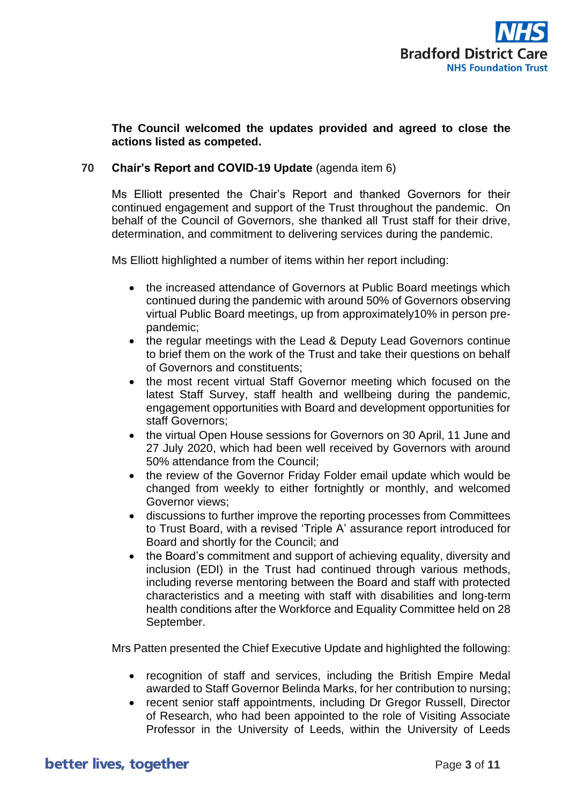

# **The Council welcomed the updates provided and agreed to close the actions listed as competed.**

# **70 Chair's Report and COVID-19 Update** (agenda item 6)

Ms Elliott presented the Chair's Report and thanked Governors for their continued engagement and support of the Trust throughout the pandemic. On behalf of the Council of Governors, she thanked all Trust staff for their drive, determination, and commitment to delivering services during the pandemic.

Ms Elliott highlighted a number of items within her report including:

- the increased attendance of Governors at Public Board meetings which continued during the pandemic with around 50% of Governors observing virtual Public Board meetings, up from approximately10% in person prepandemic;
- the regular meetings with the Lead & Deputy Lead Governors continue to brief them on the work of the Trust and take their questions on behalf of Governors and constituents;
- the most recent virtual Staff Governor meeting which focused on the latest Staff Survey, staff health and wellbeing during the pandemic, engagement opportunities with Board and development opportunities for staff Governors;
- the virtual Open House sessions for Governors on 30 April, 11 June and 27 July 2020, which had been well received by Governors with around 50% attendance from the Council;
- the review of the Governor Friday Folder email update which would be changed from weekly to either fortnightly or monthly, and welcomed Governor views;
- discussions to further improve the reporting processes from Committees to Trust Board, with a revised 'Triple A' assurance report introduced for Board and shortly for the Council; and
- the Board's commitment and support of achieving equality, diversity and inclusion (EDI) in the Trust had continued through various methods, including reverse mentoring between the Board and staff with protected characteristics and a meeting with staff with disabilities and long-term health conditions after the Workforce and Equality Committee held on 28 September.

Mrs Patten presented the Chief Executive Update and highlighted the following:

- recognition of staff and services, including the British Empire Medal awarded to Staff Governor Belinda Marks, for her contribution to nursing;
- recent senior staff appointments, including Dr Gregor Russell, Director of Research, who had been appointed to the role of Visiting Associate Professor in the University of Leeds, within the University of Leeds

# better lives, together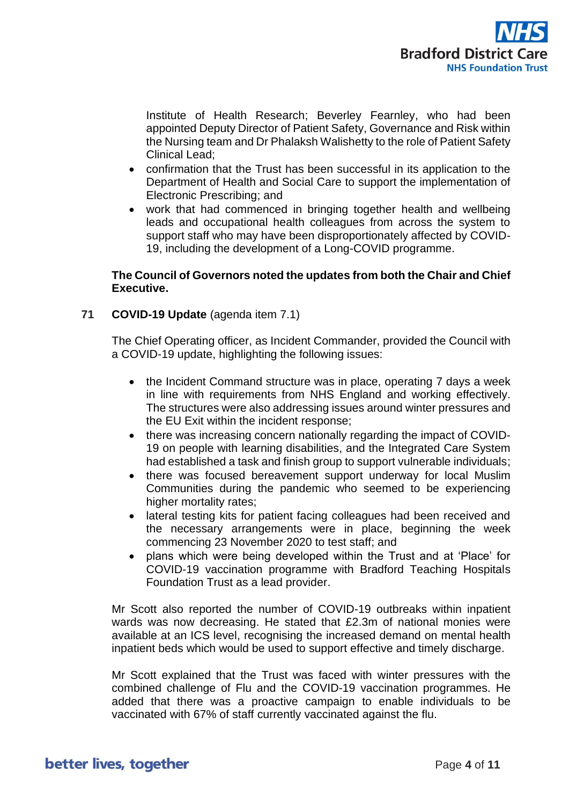

Institute of Health Research; Beverley Fearnley, who had been appointed Deputy Director of Patient Safety, Governance and Risk within the Nursing team and Dr Phalaksh Walishetty to the role of Patient Safety Clinical Lead;

- confirmation that the Trust has been successful in its application to the Department of Health and Social Care to support the implementation of Electronic Prescribing; and
- work that had commenced in bringing together health and wellbeing leads and occupational health colleagues from across the system to support staff who may have been disproportionately affected by COVID-19, including the development of a Long-COVID programme.

# **The Council of Governors noted the updates from both the Chair and Chief Executive.**

**71 COVID-19 Update** (agenda item 7.1)

The Chief Operating officer, as Incident Commander, provided the Council with a COVID-19 update, highlighting the following issues:

- the Incident Command structure was in place, operating 7 days a week in line with requirements from NHS England and working effectively. The structures were also addressing issues around winter pressures and the EU Exit within the incident response;
- there was increasing concern nationally regarding the impact of COVID-19 on people with learning disabilities, and the Integrated Care System had established a task and finish group to support vulnerable individuals;
- there was focused bereavement support underway for local Muslim Communities during the pandemic who seemed to be experiencing higher mortality rates;
- lateral testing kits for patient facing colleagues had been received and the necessary arrangements were in place, beginning the week commencing 23 November 2020 to test staff; and
- plans which were being developed within the Trust and at 'Place' for COVID-19 vaccination programme with Bradford Teaching Hospitals Foundation Trust as a lead provider.

Mr Scott also reported the number of COVID-19 outbreaks within inpatient wards was now decreasing. He stated that £2.3m of national monies were available at an ICS level, recognising the increased demand on mental health inpatient beds which would be used to support effective and timely discharge.

Mr Scott explained that the Trust was faced with winter pressures with the combined challenge of Flu and the COVID-19 vaccination programmes. He added that there was a proactive campaign to enable individuals to be vaccinated with 67% of staff currently vaccinated against the flu.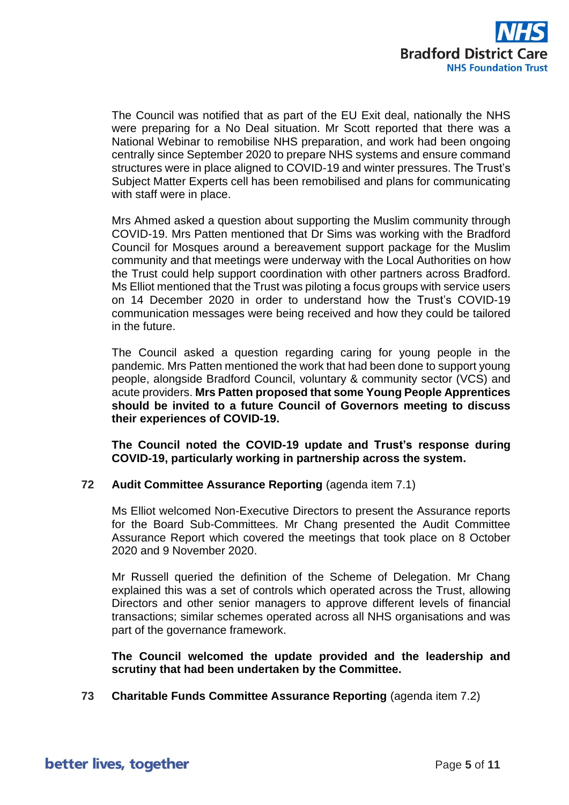

The Council was notified that as part of the EU Exit deal, nationally the NHS were preparing for a No Deal situation. Mr Scott reported that there was a National Webinar to remobilise NHS preparation, and work had been ongoing centrally since September 2020 to prepare NHS systems and ensure command structures were in place aligned to COVID-19 and winter pressures. The Trust's Subject Matter Experts cell has been remobilised and plans for communicating with staff were in place.

Mrs Ahmed asked a question about supporting the Muslim community through COVID-19. Mrs Patten mentioned that Dr Sims was working with the Bradford Council for Mosques around a bereavement support package for the Muslim community and that meetings were underway with the Local Authorities on how the Trust could help support coordination with other partners across Bradford. Ms Elliot mentioned that the Trust was piloting a focus groups with service users on 14 December 2020 in order to understand how the Trust's COVID-19 communication messages were being received and how they could be tailored in the future.

The Council asked a question regarding caring for young people in the pandemic. Mrs Patten mentioned the work that had been done to support young people, alongside Bradford Council, voluntary & community sector (VCS) and acute providers. **Mrs Patten proposed that some Young People Apprentices should be invited to a future Council of Governors meeting to discuss their experiences of COVID-19.**

**The Council noted the COVID-19 update and Trust's response during COVID-19, particularly working in partnership across the system.**

#### **72 Audit Committee Assurance Reporting** (agenda item 7.1)

Ms Elliot welcomed Non-Executive Directors to present the Assurance reports for the Board Sub-Committees. Mr Chang presented the Audit Committee Assurance Report which covered the meetings that took place on 8 October 2020 and 9 November 2020.

Mr Russell queried the definition of the Scheme of Delegation. Mr Chang explained this was a set of controls which operated across the Trust, allowing Directors and other senior managers to approve different levels of financial transactions; similar schemes operated across all NHS organisations and was part of the governance framework.

**The Council welcomed the update provided and the leadership and scrutiny that had been undertaken by the Committee.**

**73 Charitable Funds Committee Assurance Reporting** (agenda item 7.2)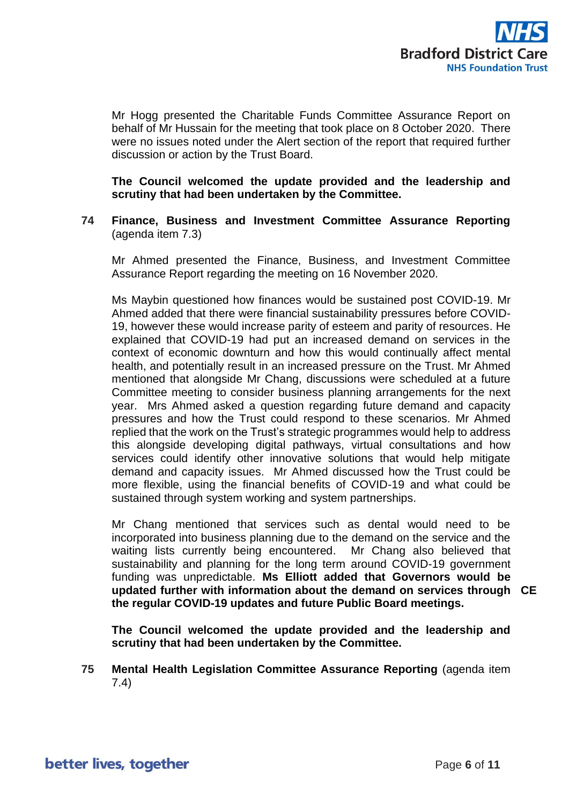

Mr Hogg presented the Charitable Funds Committee Assurance Report on behalf of Mr Hussain for the meeting that took place on 8 October 2020. There were no issues noted under the Alert section of the report that required further discussion or action by the Trust Board.

**The Council welcomed the update provided and the leadership and scrutiny that had been undertaken by the Committee.**

# **74 Finance, Business and Investment Committee Assurance Reporting**  (agenda item 7.3)

Mr Ahmed presented the Finance, Business, and Investment Committee Assurance Report regarding the meeting on 16 November 2020.

Ms Maybin questioned how finances would be sustained post COVID-19. Mr Ahmed added that there were financial sustainability pressures before COVID-19, however these would increase parity of esteem and parity of resources. He explained that COVID-19 had put an increased demand on services in the context of economic downturn and how this would continually affect mental health, and potentially result in an increased pressure on the Trust. Mr Ahmed mentioned that alongside Mr Chang, discussions were scheduled at a future Committee meeting to consider business planning arrangements for the next year. Mrs Ahmed asked a question regarding future demand and capacity pressures and how the Trust could respond to these scenarios. Mr Ahmed replied that the work on the Trust's strategic programmes would help to address this alongside developing digital pathways, virtual consultations and how services could identify other innovative solutions that would help mitigate demand and capacity issues. Mr Ahmed discussed how the Trust could be more flexible, using the financial benefits of COVID-19 and what could be sustained through system working and system partnerships.

Mr Chang mentioned that services such as dental would need to be incorporated into business planning due to the demand on the service and the waiting lists currently being encountered. Mr Chang also believed that sustainability and planning for the long term around COVID-19 government funding was unpredictable. **Ms Elliott added that Governors would be updated further with information about the demand on services through CE the regular COVID-19 updates and future Public Board meetings.**

**The Council welcomed the update provided and the leadership and scrutiny that had been undertaken by the Committee.**

**75 Mental Health Legislation Committee Assurance Reporting** (agenda item 7.4)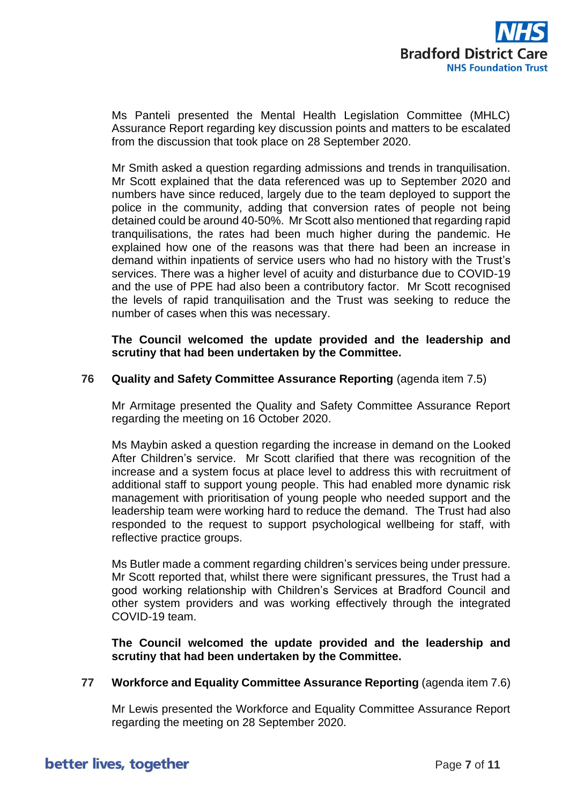

Ms Panteli presented the Mental Health Legislation Committee (MHLC) Assurance Report regarding key discussion points and matters to be escalated from the discussion that took place on 28 September 2020.

Mr Smith asked a question regarding admissions and trends in tranquilisation. Mr Scott explained that the data referenced was up to September 2020 and numbers have since reduced, largely due to the team deployed to support the police in the community, adding that conversion rates of people not being detained could be around 40-50%. Mr Scott also mentioned that regarding rapid tranquilisations, the rates had been much higher during the pandemic. He explained how one of the reasons was that there had been an increase in demand within inpatients of service users who had no history with the Trust's services. There was a higher level of acuity and disturbance due to COVID-19 and the use of PPE had also been a contributory factor. Mr Scott recognised the levels of rapid tranquilisation and the Trust was seeking to reduce the number of cases when this was necessary.

**The Council welcomed the update provided and the leadership and scrutiny that had been undertaken by the Committee.**

#### **76 Quality and Safety Committee Assurance Reporting** (agenda item 7.5)

Mr Armitage presented the Quality and Safety Committee Assurance Report regarding the meeting on 16 October 2020.

Ms Maybin asked a question regarding the increase in demand on the Looked After Children's service. Mr Scott clarified that there was recognition of the increase and a system focus at place level to address this with recruitment of additional staff to support young people. This had enabled more dynamic risk management with prioritisation of young people who needed support and the leadership team were working hard to reduce the demand. The Trust had also responded to the request to support psychological wellbeing for staff, with reflective practice groups.

Ms Butler made a comment regarding children's services being under pressure. Mr Scott reported that, whilst there were significant pressures, the Trust had a good working relationship with Children's Services at Bradford Council and other system providers and was working effectively through the integrated COVID-19 team.

**The Council welcomed the update provided and the leadership and scrutiny that had been undertaken by the Committee.**

#### **77 Workforce and Equality Committee Assurance Reporting** (agenda item 7.6)

Mr Lewis presented the Workforce and Equality Committee Assurance Report regarding the meeting on 28 September 2020.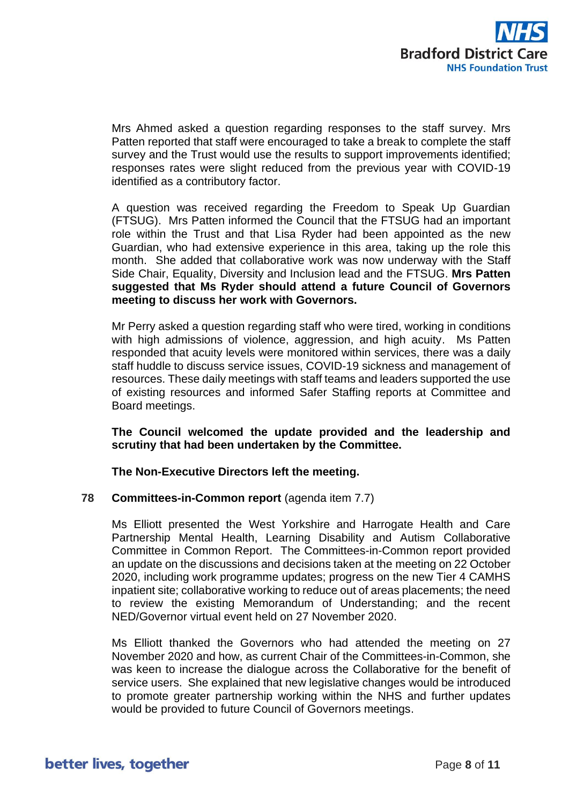

Mrs Ahmed asked a question regarding responses to the staff survey. Mrs Patten reported that staff were encouraged to take a break to complete the staff survey and the Trust would use the results to support improvements identified; responses rates were slight reduced from the previous year with COVID-19 identified as a contributory factor.

A question was received regarding the Freedom to Speak Up Guardian (FTSUG). Mrs Patten informed the Council that the FTSUG had an important role within the Trust and that Lisa Ryder had been appointed as the new Guardian, who had extensive experience in this area, taking up the role this month. She added that collaborative work was now underway with the Staff Side Chair, Equality, Diversity and Inclusion lead and the FTSUG. **Mrs Patten suggested that Ms Ryder should attend a future Council of Governors meeting to discuss her work with Governors.**

Mr Perry asked a question regarding staff who were tired, working in conditions with high admissions of violence, aggression, and high acuity. Ms Patten responded that acuity levels were monitored within services, there was a daily staff huddle to discuss service issues, COVID-19 sickness and management of resources. These daily meetings with staff teams and leaders supported the use of existing resources and informed Safer Staffing reports at Committee and Board meetings.

**The Council welcomed the update provided and the leadership and scrutiny that had been undertaken by the Committee.**

**The Non-Executive Directors left the meeting.**

# **78 Committees-in-Common report** (agenda item 7.7)

Ms Elliott presented the West Yorkshire and Harrogate Health and Care Partnership Mental Health, Learning Disability and Autism Collaborative Committee in Common Report. The Committees-in-Common report provided an update on the discussions and decisions taken at the meeting on 22 October 2020, including work programme updates; progress on the new Tier 4 CAMHS inpatient site; collaborative working to reduce out of areas placements; the need to review the existing Memorandum of Understanding; and the recent NED/Governor virtual event held on 27 November 2020.

Ms Elliott thanked the Governors who had attended the meeting on 27 November 2020 and how, as current Chair of the Committees-in-Common, she was keen to increase the dialogue across the Collaborative for the benefit of service users. She explained that new legislative changes would be introduced to promote greater partnership working within the NHS and further updates would be provided to future Council of Governors meetings.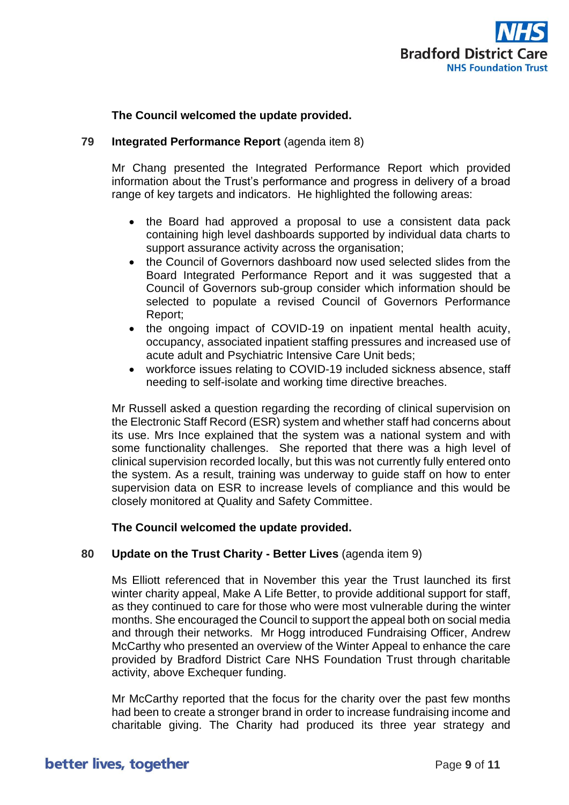

# **The Council welcomed the update provided.**

### **79 Integrated Performance Report** (agenda item 8)

Mr Chang presented the Integrated Performance Report which provided information about the Trust's performance and progress in delivery of a broad range of key targets and indicators. He highlighted the following areas:

- the Board had approved a proposal to use a consistent data pack containing high level dashboards supported by individual data charts to support assurance activity across the organisation;
- the Council of Governors dashboard now used selected slides from the Board Integrated Performance Report and it was suggested that a Council of Governors sub-group consider which information should be selected to populate a revised Council of Governors Performance Report;
- the ongoing impact of COVID-19 on inpatient mental health acuity, occupancy, associated inpatient staffing pressures and increased use of acute adult and Psychiatric Intensive Care Unit beds;
- workforce issues relating to COVID-19 included sickness absence, staff needing to self-isolate and working time directive breaches.

Mr Russell asked a question regarding the recording of clinical supervision on the Electronic Staff Record (ESR) system and whether staff had concerns about its use. Mrs Ince explained that the system was a national system and with some functionality challenges. She reported that there was a high level of clinical supervision recorded locally, but this was not currently fully entered onto the system. As a result, training was underway to guide staff on how to enter supervision data on ESR to increase levels of compliance and this would be closely monitored at Quality and Safety Committee.

#### **The Council welcomed the update provided.**

#### **80 Update on the Trust Charity - Better Lives** (agenda item 9)

Ms Elliott referenced that in November this year the Trust launched its first winter charity appeal, Make A Life Better, to provide additional support for staff, as they continued to care for those who were most vulnerable during the winter months. She encouraged the Council to support the appeal both on social media and through their networks. Mr Hogg introduced Fundraising Officer, Andrew McCarthy who presented an overview of the Winter Appeal to enhance the care provided by Bradford District Care NHS Foundation Trust through charitable activity, above Exchequer funding.

Mr McCarthy reported that the focus for the charity over the past few months had been to create a stronger brand in order to increase fundraising income and charitable giving. The Charity had produced its three year strategy and

# better lives, together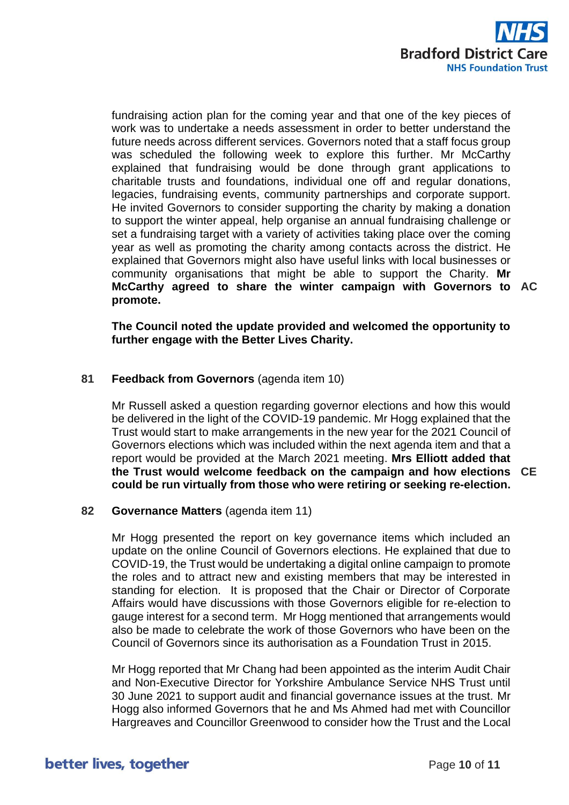

fundraising action plan for the coming year and that one of the key pieces of work was to undertake a needs assessment in order to better understand the future needs across different services. Governors noted that a staff focus group was scheduled the following week to explore this further. Mr McCarthy explained that fundraising would be done through grant applications to charitable trusts and foundations, individual one off and regular donations, legacies, fundraising events, community partnerships and corporate support. He invited Governors to consider supporting the charity by making a donation to support the winter appeal, help organise an annual fundraising challenge or set a fundraising target with a variety of activities taking place over the coming year as well as promoting the charity among contacts across the district. He explained that Governors might also have useful links with local businesses or community organisations that might be able to support the Charity. **Mr McCarthy agreed to share the winter campaign with Governors to AC promote.**

**The Council noted the update provided and welcomed the opportunity to further engage with the Better Lives Charity.**

# **81 Feedback from Governors** (agenda item 10)

Mr Russell asked a question regarding governor elections and how this would be delivered in the light of the COVID-19 pandemic. Mr Hogg explained that the Trust would start to make arrangements in the new year for the 2021 Council of Governors elections which was included within the next agenda item and that a report would be provided at the March 2021 meeting. **Mrs Elliott added that the Trust would welcome feedback on the campaign and how elections CE could be run virtually from those who were retiring or seeking re-election.**

# **82 Governance Matters** (agenda item 11)

Mr Hogg presented the report on key governance items which included an update on the online Council of Governors elections. He explained that due to COVID-19, the Trust would be undertaking a digital online campaign to promote the roles and to attract new and existing members that may be interested in standing for election. It is proposed that the Chair or Director of Corporate Affairs would have discussions with those Governors eligible for re-election to gauge interest for a second term. Mr Hogg mentioned that arrangements would also be made to celebrate the work of those Governors who have been on the Council of Governors since its authorisation as a Foundation Trust in 2015.

Mr Hogg reported that Mr Chang had been appointed as the interim Audit Chair and Non-Executive Director for Yorkshire Ambulance Service NHS Trust until 30 June 2021 to support audit and financial governance issues at the trust. Mr Hogg also informed Governors that he and Ms Ahmed had met with Councillor Hargreaves and Councillor Greenwood to consider how the Trust and the Local